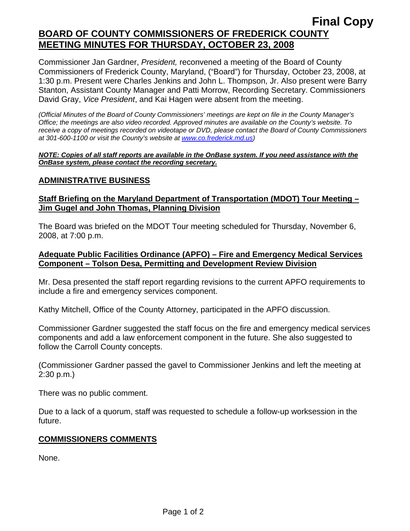## **Final Copy BOARD OF COUNTY COMMISSIONERS OF FREDERICK COUNTY MEETING MINUTES FOR THURSDAY, OCTOBER 23, 2008**

Commissioner Jan Gardner, *President,* reconvened a meeting of the Board of County Commissioners of Frederick County, Maryland, ("Board") for Thursday, October 23, 2008, at 1:30 p.m. Present were Charles Jenkins and John L. Thompson, Jr. Also present were Barry Stanton, Assistant County Manager and Patti Morrow, Recording Secretary. Commissioners David Gray, *Vice President*, and Kai Hagen were absent from the meeting.

*(Official Minutes of the Board of County Commissioners' meetings are kept on file in the County Manager's Office; the meetings are also video recorded. Approved minutes are available on the County's website. To receive a copy of meetings recorded on videotape or DVD, please contact the Board of County Commissioners at 301-600-1100 or visit the County's website at [www.co.frederick.md.us\)](http://www.co.frederick.md.us/)* 

#### *NOTE: Copies of all staff reports are available in the OnBase system. If you need assistance with the OnBase system, please contact the recording secretary.*

#### **ADMINISTRATIVE BUSINESS**

#### **Staff Briefing on the Maryland Department of Transportation (MDOT) Tour Meeting – Jim Gugel and John Thomas, Planning Division**

The Board was briefed on the MDOT Tour meeting scheduled for Thursday, November 6, 2008, at 7:00 p.m.

#### **Adequate Public Facilities Ordinance (APFO) – Fire and Emergency Medical Services Component – Tolson Desa, Permitting and Development Review Division**

Mr. Desa presented the staff report regarding revisions to the current APFO requirements to include a fire and emergency services component.

Kathy Mitchell, Office of the County Attorney, participated in the APFO discussion.

Commissioner Gardner suggested the staff focus on the fire and emergency medical services components and add a law enforcement component in the future. She also suggested to follow the Carroll County concepts.

(Commissioner Gardner passed the gavel to Commissioner Jenkins and left the meeting at 2:30 p.m.)

There was no public comment.

Due to a lack of a quorum, staff was requested to schedule a follow-up worksession in the future.

#### **COMMISSIONERS COMMENTS**

None.